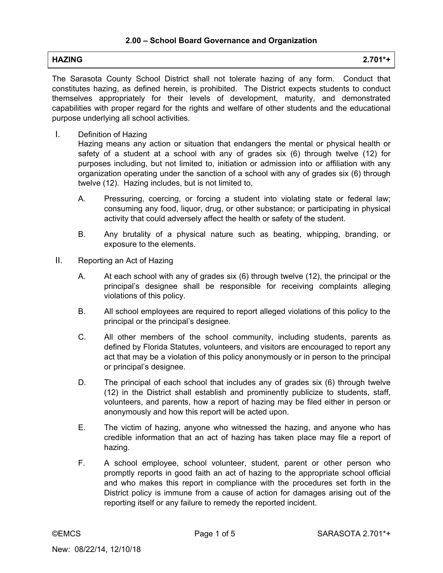# **HAZING 2.701\*+**

The Sarasota County School District shall not tolerate hazing of any form. Conduct that constitutes hazing, as defined herein, is prohibited. The District expects students to conduct themselves appropriately for their levels of development, maturity, and demonstrated capabilities with proper regard for the rights and welfare of other students and the educational purpose underlying all school activities.

I. Definition of Hazing

Hazing means any action or situation that endangers the mental or physical health or safety of a student at a school with any of grades six (6) through twelve (12) for purposes including, but not limited to, initiation or admission into or affiliation with any organization operating under the sanction of a school with any of grades six (6) through twelve (12). Hazing includes, but is not limited to,

- A. Pressuring, coercing, or forcing a student into violating state or federal law; consuming any food, liquor, drug, or other substance; or participating in physical activity that could adversely affect the health or safety of the student.
- B. Any brutality of a physical nature such as beating, whipping, branding, or exposure to the elements.
- II. Reporting an Act of Hazing
	- A. At each school with any of grades six (6) through twelve (12), the principal or the principal's designee shall be responsible for receiving complaints alleging violations of this policy.
	- B. All school employees are required to report alleged violations of this policy to the principal or the principal's designee.
	- C. All other members of the school community, including students, parents as defined by Florida Statutes, volunteers, and visitors are encouraged to report any act that may be a violation of this policy anonymously or in person to the principal or principal's designee.
	- D. The principal of each school that includes any of grades six (6) through twelve (12) in the District shall establish and prominently publicize to students, staff, volunteers, and parents, how a report of hazing may be filed either in person or anonymously and how this report will be acted upon.
	- E. The victim of hazing, anyone who witnessed the hazing, and anyone who has credible information that an act of hazing has taken place may file a report of hazing.
	- F. A school employee, school volunteer, student, parent or other person who promptly reports in good faith an act of hazing to the appropriate school official and who makes this report in compliance with the procedures set forth in the District policy is immune from a cause of action for damages arising out of the reporting itself or any failure to remedy the reported incident.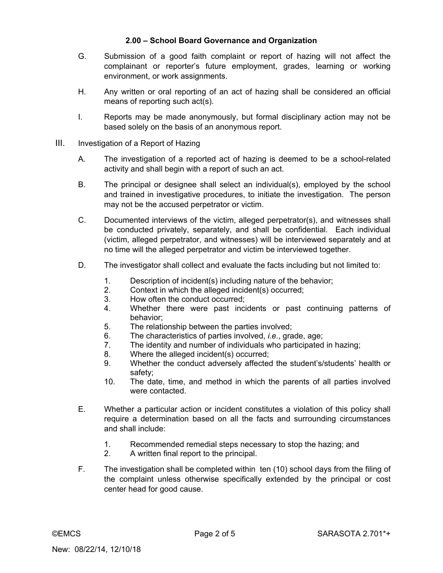### **2.00 – School Board Governance and Organization**

- G. Submission of a good faith complaint or report of hazing will not affect the complainant or reporter's future employment, grades, learning or working environment, or work assignments.
- H. Any written or oral reporting of an act of hazing shall be considered an official means of reporting such act(s).
- I. Reports may be made anonymously, but formal disciplinary action may not be based solely on the basis of an anonymous report.
- III. Investigation of a Report of Hazing
	- A. The investigation of a reported act of hazing is deemed to be a school-related activity and shall begin with a report of such an act.
	- B. The principal or designee shall select an individual(s), employed by the school and trained in investigative procedures, to initiate the investigation. The person may not be the accused perpetrator or victim.
	- C. Documented interviews of the victim, alleged perpetrator(s), and witnesses shall be conducted privately, separately, and shall be confidential. Each individual (victim, alleged perpetrator, and witnesses) will be interviewed separately and at no time will the alleged perpetrator and victim be interviewed together.
	- D. The investigator shall collect and evaluate the facts including but not limited to:
		- 1. Description of incident(s) including nature of the behavior;
		- 2. Context in which the alleged incident(s) occurred;
		- 3. How often the conduct occurred;
		- 4. Whether there were past incidents or past continuing patterns of behavior;
		- 5. The relationship between the parties involved;
		- 6. The characteristics of parties involved, *i.e.*, grade, age;
		- 7. The identity and number of individuals who participated in hazing;
		- 8. Where the alleged incident(s) occurred;
		- 9. Whether the conduct adversely affected the student's/students' health or safety;
		- 10. The date, time, and method in which the parents of all parties involved were contacted.
	- E. Whether a particular action or incident constitutes a violation of this policy shall require a determination based on all the facts and surrounding circumstances and shall include:
		- 1. Recommended remedial steps necessary to stop the hazing; and
		- 2. A written final report to the principal.
	- F. The investigation shall be completed within ten (10) school days from the filing of the complaint unless otherwise specifically extended by the principal or cost center head for good cause.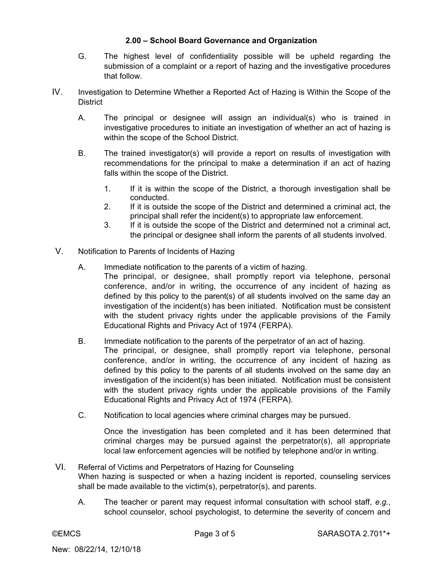### **2.00 – School Board Governance and Organization**

- G. The highest level of confidentiality possible will be upheld regarding the submission of a complaint or a report of hazing and the investigative procedures that follow.
- IV. Investigation to Determine Whether a Reported Act of Hazing is Within the Scope of the **District** 
	- A. The principal or designee will assign an individual(s) who is trained in investigative procedures to initiate an investigation of whether an act of hazing is within the scope of the School District.
	- B. The trained investigator(s) will provide a report on results of investigation with recommendations for the principal to make a determination if an act of hazing falls within the scope of the District.
		- 1. If it is within the scope of the District, a thorough investigation shall be conducted.
		- 2. If it is outside the scope of the District and determined a criminal act, the principal shall refer the incident(s) to appropriate law enforcement.
		- 3. If it is outside the scope of the District and determined not a criminal act, the principal or designee shall inform the parents of all students involved.
- V. Notification to Parents of Incidents of Hazing
	- A. Immediate notification to the parents of a victim of hazing. The principal, or designee, shall promptly report via telephone, personal conference, and/or in writing, the occurrence of any incident of hazing as defined by this policy to the parent(s) of all students involved on the same day an investigation of the incident(s) has been initiated. Notification must be consistent with the student privacy rights under the applicable provisions of the Family Educational Rights and Privacy Act of 1974 (FERPA).
	- B. Immediate notification to the parents of the perpetrator of an act of hazing. The principal, or designee, shall promptly report via telephone, personal conference, and/or in writing, the occurrence of any incident of hazing as defined by this policy to the parents of all students involved on the same day an investigation of the incident(s) has been initiated. Notification must be consistent with the student privacy rights under the applicable provisions of the Family Educational Rights and Privacy Act of 1974 (FERPA).
	- C. Notification to local agencies where criminal charges may be pursued.

Once the investigation has been completed and it has been determined that criminal charges may be pursued against the perpetrator(s), all appropriate local law enforcement agencies will be notified by telephone and/or in writing.

- VI. Referral of Victims and Perpetrators of Hazing for Counseling When hazing is suspected or when a hazing incident is reported, counseling services shall be made available to the victim(s), perpetrator(s), and parents.
	- A. The teacher or parent may request informal consultation with school staff, *e.g.*, school counselor, school psychologist, to determine the severity of concern and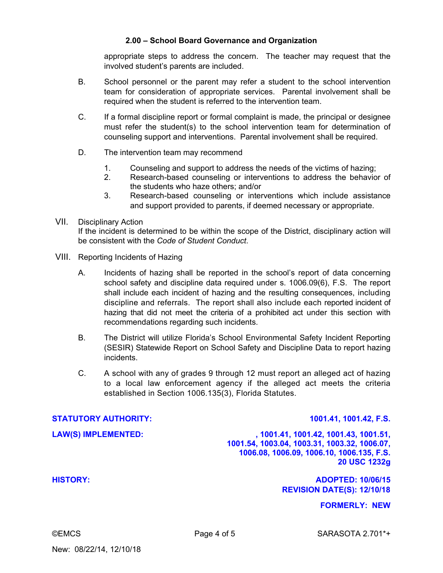#### **2.00 – School Board Governance and Organization**

appropriate steps to address the concern. The teacher may request that the involved student's parents are included.

- B. School personnel or the parent may refer a student to the school intervention team for consideration of appropriate services. Parental involvement shall be required when the student is referred to the intervention team.
- C. If a formal discipline report or formal complaint is made, the principal or designee must refer the student(s) to the school intervention team for determination of counseling support and interventions. Parental involvement shall be required.
- D. The intervention team may recommend
	- 1. Counseling and support to address the needs of the victims of hazing;
	- 2. Research-based counseling or interventions to address the behavior of the students who haze others; and/or
	- 3. Research-based counseling or interventions which include assistance and support provided to parents, if deemed necessary or appropriate.

#### VII. Disciplinary Action

If the incident is determined to be within the scope of the District, disciplinary action will be consistent with the *Code of Student Conduct*.

- VIII. Reporting Incidents of Hazing
	- A. Incidents of hazing shall be reported in the school's report of data concerning school safety and discipline data required under s. 1006.09(6), F.S. The report shall include each incident of hazing and the resulting consequences, including discipline and referrals. The report shall also include each reported incident of hazing that did not meet the criteria of a prohibited act under this section with recommendations regarding such incidents.
	- B. The District will utilize Florida's School Environmental Safety Incident Reporting (SESIR) Statewide Report on School Safety and Discipline Data to report hazing incidents.
	- C. A school with any of grades 9 through 12 must report an alleged act of hazing to a local law enforcement agency if the alleged act meets the criteria established in Section 1006.135(3), Florida Statutes.

#### **STATUTORY AUTHORITY: 1001.41, 1001.42, F.S.**

**LAW(S) IMPLEMENTED: , 1001.41, 1001.42, 1001.43, 1001.51, 1001.54, 1003.04, 1003.31, 1003.32, 1006.07, 1006.08, 1006.09, 1006.10, 1006.135, F.S. 20 USC 1232g** 

**HISTORY: ADOPTED: 10/06/15 REVISION DATE(S): 12/10/18** 

**FORMERLY: NEW** 

©EMCS Page 4 of 5 SARASOTA 2.701\*+

New: 08/22/14, 12/10/18